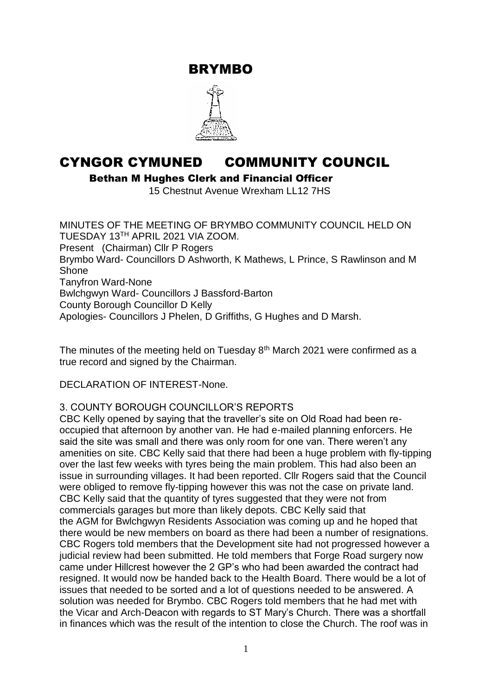BRYMBO



# CYNGOR CYMUNED COMMUNITY COUNCIL

Bethan M Hughes Clerk and Financial Officer

15 Chestnut Avenue Wrexham LL12 7HS

MINUTES OF THE MEETING OF BRYMBO COMMUNITY COUNCIL HELD ON TUESDAY 13TH APRIL 2021 VIA ZOOM. Present (Chairman) Cllr P Rogers Brymbo Ward- Councillors D Ashworth, K Mathews, L Prince, S Rawlinson and M Shone Tanyfron Ward-None Bwlchgwyn Ward- Councillors J Bassford-Barton County Borough Councillor D Kelly Apologies- Councillors J Phelen, D Griffiths, G Hughes and D Marsh.

The minutes of the meeting held on Tuesday 8<sup>th</sup> March 2021 were confirmed as a true record and signed by the Chairman.

DECLARATION OF INTEREST-None.

## 3. COUNTY BOROUGH COUNCILLOR'S REPORTS

CBC Kelly opened by saying that the traveller's site on Old Road had been reoccupied that afternoon by another van. He had e-mailed planning enforcers. He said the site was small and there was only room for one van. There weren't any amenities on site. CBC Kelly said that there had been a huge problem with fly-tipping over the last few weeks with tyres being the main problem. This had also been an issue in surrounding villages. It had been reported. Cllr Rogers said that the Council were obliged to remove fly-tipping however this was not the case on private land. CBC Kelly said that the quantity of tyres suggested that they were not from commercials garages but more than likely depots. CBC Kelly said that the AGM for Bwlchgwyn Residents Association was coming up and he hoped that there would be new members on board as there had been a number of resignations. CBC Rogers told members that the Development site had not progressed however a judicial review had been submitted. He told members that Forge Road surgery now came under Hillcrest however the 2 GP's who had been awarded the contract had resigned. It would now be handed back to the Health Board. There would be a lot of issues that needed to be sorted and a lot of questions needed to be answered. A solution was needed for Brymbo. CBC Rogers told members that he had met with the Vicar and Arch-Deacon with regards to ST Mary's Church. There was a shortfall in finances which was the result of the intention to close the Church. The roof was in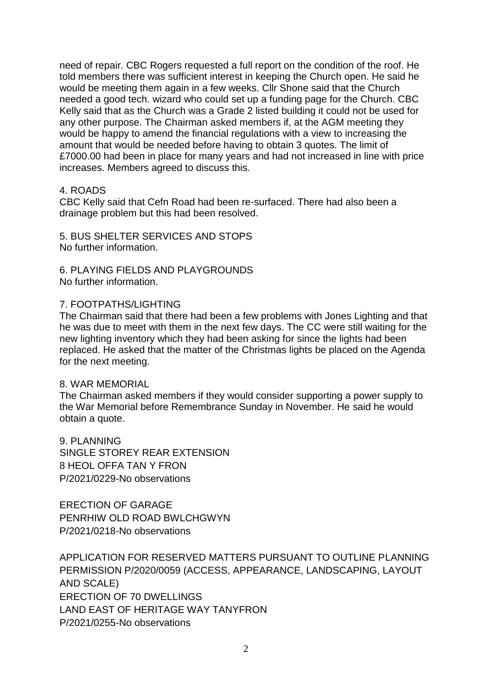need of repair. CBC Rogers requested a full report on the condition of the roof. He told members there was sufficient interest in keeping the Church open. He said he would be meeting them again in a few weeks. Cllr Shone said that the Church needed a good tech. wizard who could set up a funding page for the Church. CBC Kelly said that as the Church was a Grade 2 listed building it could not be used for any other purpose. The Chairman asked members if, at the AGM meeting they would be happy to amend the financial regulations with a view to increasing the amount that would be needed before having to obtain 3 quotes. The limit of £7000.00 had been in place for many years and had not increased in line with price increases. Members agreed to discuss this.

#### 4. ROADS

CBC Kelly said that Cefn Road had been re-surfaced. There had also been a drainage problem but this had been resolved.

5. BUS SHELTER SERVICES AND STOPS No further information.

6. PLAYING FIELDS AND PLAYGROUNDS No further information.

#### 7. FOOTPATHS/LIGHTING

The Chairman said that there had been a few problems with Jones Lighting and that he was due to meet with them in the next few days. The CC were still waiting for the new lighting inventory which they had been asking for since the lights had been replaced. He asked that the matter of the Christmas lights be placed on the Agenda for the next meeting.

#### 8. WAR MEMORIAL

The Chairman asked members if they would consider supporting a power supply to the War Memorial before Remembrance Sunday in November. He said he would obtain a quote.

9. PLANNING SINGLE STOREY REAR EXTENSION 8 HEOL OFFA TAN Y FRON P/2021/0229-No observations

ERECTION OF GARAGE PENRHIW OLD ROAD BWLCHGWYN P/2021/0218-No observations

APPLICATION FOR RESERVED MATTERS PURSUANT TO OUTLINE PLANNING PERMISSION P/2020/0059 (ACCESS, APPEARANCE, LANDSCAPING, LAYOUT AND SCALE) ERECTION OF 70 DWELLINGS LAND EAST OF HERITAGE WAY TANYFRON P/2021/0255-No observations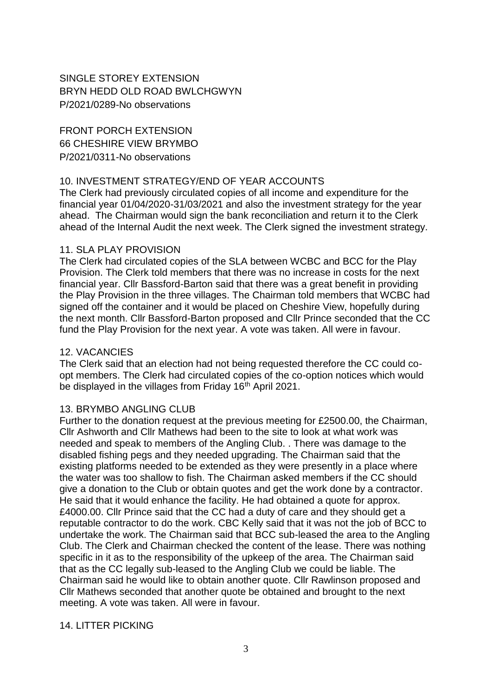# SINGLE STOREY EXTENSION BRYN HEDD OLD ROAD BWLCHGWYN P/2021/0289-No observations

FRONT PORCH EXTENSION 66 CHESHIRE VIEW BRYMBO P/2021/0311-No observations

## 10. INVESTMENT STRATEGY/END OF YEAR ACCOUNTS

The Clerk had previously circulated copies of all income and expenditure for the financial year 01/04/2020-31/03/2021 and also the investment strategy for the year ahead. The Chairman would sign the bank reconciliation and return it to the Clerk ahead of the Internal Audit the next week. The Clerk signed the investment strategy.

## 11. SLA PLAY PROVISION

The Clerk had circulated copies of the SLA between WCBC and BCC for the Play Provision. The Clerk told members that there was no increase in costs for the next financial year. Cllr Bassford-Barton said that there was a great benefit in providing the Play Provision in the three villages. The Chairman told members that WCBC had signed off the container and it would be placed on Cheshire View, hopefully during the next month. Cllr Bassford-Barton proposed and Cllr Prince seconded that the CC fund the Play Provision for the next year. A vote was taken. All were in favour.

# 12. VACANCIES

The Clerk said that an election had not being requested therefore the CC could coopt members. The Clerk had circulated copies of the co-option notices which would be displayed in the villages from Friday 16<sup>th</sup> April 2021.

## 13. BRYMBO ANGLING CLUB

Further to the donation request at the previous meeting for £2500.00, the Chairman, Cllr Ashworth and Cllr Mathews had been to the site to look at what work was needed and speak to members of the Angling Club. . There was damage to the disabled fishing pegs and they needed upgrading. The Chairman said that the existing platforms needed to be extended as they were presently in a place where the water was too shallow to fish. The Chairman asked members if the CC should give a donation to the Club or obtain quotes and get the work done by a contractor. He said that it would enhance the facility. He had obtained a quote for approx. £4000.00. Cllr Prince said that the CC had a duty of care and they should get a reputable contractor to do the work. CBC Kelly said that it was not the job of BCC to undertake the work. The Chairman said that BCC sub-leased the area to the Angling Club. The Clerk and Chairman checked the content of the lease. There was nothing specific in it as to the responsibility of the upkeep of the area. The Chairman said that as the CC legally sub-leased to the Angling Club we could be liable. The Chairman said he would like to obtain another quote. Cllr Rawlinson proposed and Cllr Mathews seconded that another quote be obtained and brought to the next meeting. A vote was taken. All were in favour.

# 14. LITTER PICKING